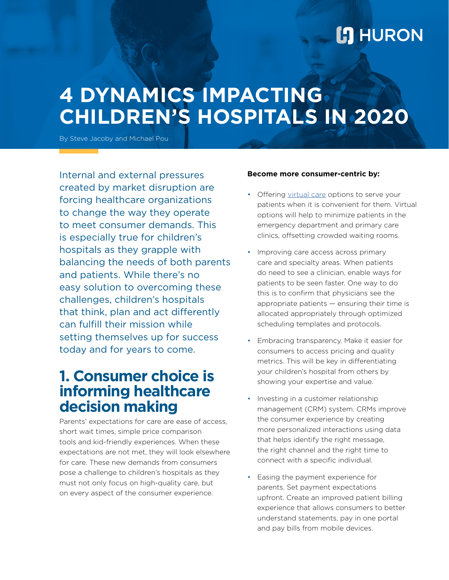# **L'I** HURON

# **4 DYNAMICS IMPACTING CHILDREN'S HOSPITALS IN 2020**

By Steve Jacoby and Michael Pou

Internal and external pressures created by market disruption are forcing healthcare organizations to change the way they operate to meet consumer demands. This is especially true for children's hospitals as they grapple with balancing the needs of both parents and patients. While there's no easy solution to overcoming these challenges, children's hospitals that think, plan and act differently can fulfill their mission while setting themselves up for success today and for years to come.

### **1. Consumer choice is informing healthcare decision making**

Parents' expectations for care are ease of access, short wait times, simple price comparison tools and kid-friendly experiences. When these expectations are not met, they will look elsewhere for care. These new demands from consumers pose a challenge to children's hospitals as they must not only focus on high-quality care, but on every aspect of the consumer experience.

#### **Become more consumer-centric by:**

- Offering [virtual care](https://www.huronconsultinggroup.com/resources/healthcare/virtual-care-component-of-care-delivery) options to serve your patients when it is convenient for them. Virtual options will help to minimize patients in the emergency department and primary care clinics, offsetting crowded waiting rooms.
- Improving care access across primary care and specialty areas. When patients do need to see a clinician, enable ways for patients to be seen faster. One way to do this is to confirm that physicians see the appropriate patients — ensuring their time is allocated appropriately through optimized scheduling templates and protocols.
- Embracing transparency. Make it easier for consumers to access pricing and quality metrics. This will be key in differentiating your children's hospital from others by showing your expertise and value.
- Investing in a customer relationship management (CRM) system. CRMs improve the consumer experience by creating more personalized interactions using data that helps identify the right message, the right channel and the right time to connect with a specific individual.
- Easing the payment experience for parents. Set payment expectations upfront. Create an improved patient billing experience that allows consumers to better understand statements, pay in one portal and pay bills from mobile devices.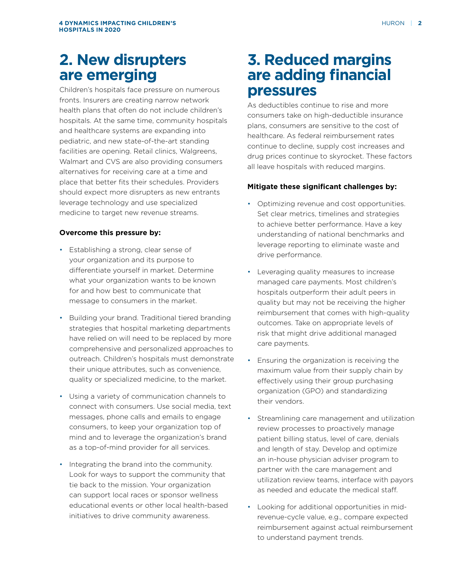## **2. New disrupters are emerging**

Children's hospitals face pressure on numerous fronts. Insurers are creating narrow network health plans that often do not include children's hospitals. At the same time, community hospitals and healthcare systems are expanding into pediatric, and new state-of-the-art standing facilities are opening. Retail clinics, Walgreens, Walmart and CVS are also providing consumers alternatives for receiving care at a time and place that better fits their schedules. Providers should expect more disrupters as new entrants leverage technology and use specialized medicine to target new revenue streams.

#### **Overcome this pressure by:**

- Establishing a strong, clear sense of your organization and its purpose to differentiate yourself in market. Determine what your organization wants to be known for and how best to communicate that message to consumers in the market.
- Building your brand. Traditional tiered branding strategies that hospital marketing departments have relied on will need to be replaced by more comprehensive and personalized approaches to outreach. Children's hospitals must demonstrate their unique attributes, such as convenience, quality or specialized medicine, to the market.
- Using a variety of communication channels to connect with consumers. Use social media, text messages, phone calls and emails to engage consumers, to keep your organization top of mind and to leverage the organization's brand as a top-of-mind provider for all services.
- Integrating the brand into the community. Look for ways to support the community that tie back to the mission. Your organization can support local races or sponsor wellness educational events or other local health-based initiatives to drive community awareness.

## **3. Reduced margins are adding financial pressures**

As deductibles continue to rise and more consumers take on high-deductible insurance plans, consumers are sensitive to the cost of healthcare. As federal reimbursement rates continue to decline, supply cost increases and drug prices continue to skyrocket. These factors all leave hospitals with reduced margins.

### **Mitigate these significant challenges by:**

- Optimizing revenue and cost opportunities. Set clear metrics, timelines and strategies to achieve better performance. Have a key understanding of national benchmarks and leverage reporting to eliminate waste and drive performance.
- Leveraging quality measures to increase managed care payments. Most children's hospitals outperform their adult peers in quality but may not be receiving the higher reimbursement that comes with high-quality outcomes. Take on appropriate levels of risk that might drive additional managed care payments.
- Ensuring the organization is receiving the maximum value from their supply chain by effectively using their group purchasing organization (GPO) and standardizing their vendors.
- Streamlining care management and utilization review processes to proactively manage patient billing status, level of care, denials and length of stay. Develop and optimize an in-house physician adviser program to partner with the care management and utilization review teams, interface with payors as needed and educate the medical staff.
- Looking for additional opportunities in midrevenue-cycle value, e.g., compare expected reimbursement against actual reimbursement to understand payment trends.